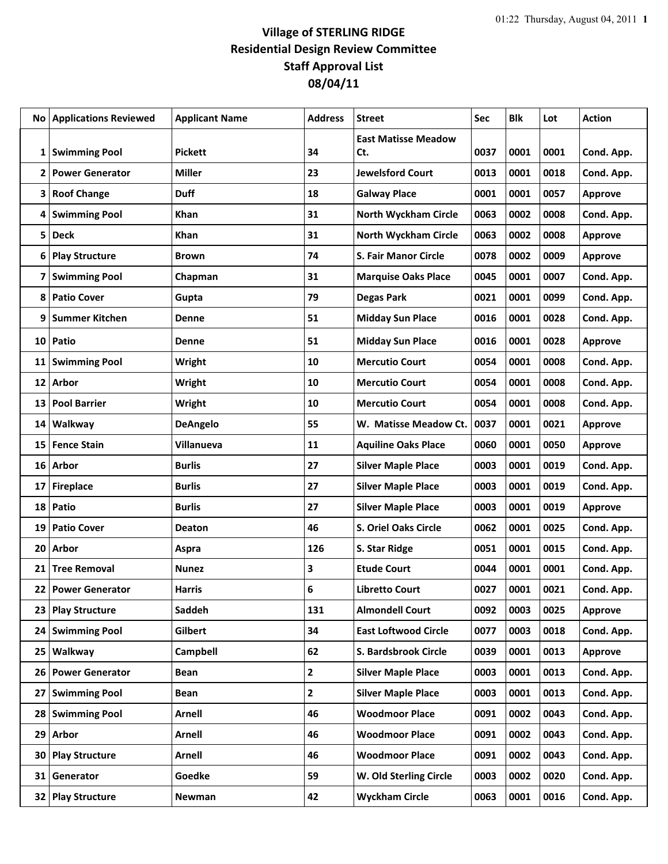## **Village of STERLING RIDGE Residential Design Review Committee Staff Approval List 08/04/11**

|    | <b>No Applications Reviewed</b> | <b>Applicant Name</b> | <b>Address</b> | <b>Street</b>                     | Sec  | <b>Blk</b> | Lot  | <b>Action</b>  |
|----|---------------------------------|-----------------------|----------------|-----------------------------------|------|------------|------|----------------|
|    | 1 Swimming Pool                 | <b>Pickett</b>        | 34             | <b>East Matisse Meadow</b><br>Ct. | 0037 | 0001       | 0001 | Cond. App.     |
| 2  | <b>Power Generator</b>          | <b>Miller</b>         | 23             | <b>Jewelsford Court</b>           | 0013 | 0001       | 0018 | Cond. App.     |
| 3  | <b>Roof Change</b>              | <b>Duff</b>           | 18             | <b>Galway Place</b>               | 0001 | 0001       | 0057 | <b>Approve</b> |
| 4  | <b>Swimming Pool</b>            | <b>Khan</b>           | 31             | <b>North Wyckham Circle</b>       | 0063 | 0002       | 0008 | Cond. App.     |
| 5  | <b>Deck</b>                     | Khan                  | 31             | <b>North Wyckham Circle</b>       | 0063 | 0002       | 0008 | <b>Approve</b> |
| 6  | <b>Play Structure</b>           | <b>Brown</b>          | 74             | <b>S. Fair Manor Circle</b>       | 0078 | 0002       | 0009 | <b>Approve</b> |
| 7  | <b>Swimming Pool</b>            | Chapman               | 31             | <b>Marquise Oaks Place</b>        | 0045 | 0001       | 0007 | Cond. App.     |
| 8  | <b>Patio Cover</b>              | Gupta                 | 79             | <b>Degas Park</b>                 | 0021 | 0001       | 0099 | Cond. App.     |
| 9  | Summer Kitchen                  | <b>Denne</b>          | 51             | <b>Midday Sun Place</b>           | 0016 | 0001       | 0028 | Cond. App.     |
| 10 | Patio                           | Denne                 | 51             | <b>Midday Sun Place</b>           | 0016 | 0001       | 0028 | <b>Approve</b> |
| 11 | <b>Swimming Pool</b>            | Wright                | 10             | <b>Mercutio Court</b>             | 0054 | 0001       | 0008 | Cond. App.     |
| 12 | Arbor                           | Wright                | 10             | <b>Mercutio Court</b>             | 0054 | 0001       | 0008 | Cond. App.     |
| 13 | <b>Pool Barrier</b>             | Wright                | 10             | <b>Mercutio Court</b>             | 0054 | 0001       | 0008 | Cond. App.     |
| 14 | Walkway                         | <b>DeAngelo</b>       | 55             | W. Matisse Meadow Ct.             | 0037 | 0001       | 0021 | Approve        |
| 15 | <b>Fence Stain</b>              | <b>Villanueva</b>     | 11             | <b>Aquiline Oaks Place</b>        | 0060 | 0001       | 0050 | Approve        |
| 16 | Arbor                           | <b>Burlis</b>         | 27             | <b>Silver Maple Place</b>         | 0003 | 0001       | 0019 | Cond. App.     |
| 17 | <b>Fireplace</b>                | <b>Burlis</b>         | 27             | <b>Silver Maple Place</b>         | 0003 | 0001       | 0019 | Cond. App.     |
| 18 | Patio                           | <b>Burlis</b>         | 27             | <b>Silver Maple Place</b>         | 0003 | 0001       | 0019 | <b>Approve</b> |
| 19 | <b>Patio Cover</b>              | <b>Deaton</b>         | 46             | S. Oriel Oaks Circle              | 0062 | 0001       | 0025 | Cond. App.     |
| 20 | Arbor                           | Aspra                 | 126            | S. Star Ridge                     | 0051 | 0001       | 0015 | Cond. App.     |
| 21 | <b>Tree Removal</b>             | <b>Nunez</b>          | 3              | <b>Etude Court</b>                | 0044 | 0001       | 0001 | Cond. App.     |
| 22 | <b>Power Generator</b>          | <b>Harris</b>         | 6              | <b>Libretto Court</b>             | 0027 | 0001       | 0021 | Cond. App.     |
| 23 | <b>Play Structure</b>           | Saddeh                | 131            | <b>Almondell Court</b>            | 0092 | 0003       | 0025 | <b>Approve</b> |
| 24 | <b>Swimming Pool</b>            | Gilbert               | 34             | <b>East Loftwood Circle</b>       | 0077 | 0003       | 0018 | Cond. App.     |
| 25 | Walkway                         | Campbell              | 62             | S. Bardsbrook Circle              | 0039 | 0001       | 0013 | Approve        |
| 26 | <b>Power Generator</b>          | <b>Bean</b>           | $\mathbf{2}$   | <b>Silver Maple Place</b>         | 0003 | 0001       | 0013 | Cond. App.     |
| 27 | <b>Swimming Pool</b>            | <b>Bean</b>           | $\mathbf{2}$   | <b>Silver Maple Place</b>         | 0003 | 0001       | 0013 | Cond. App.     |
| 28 | <b>Swimming Pool</b>            | Arnell                | 46             | <b>Woodmoor Place</b>             | 0091 | 0002       | 0043 | Cond. App.     |
| 29 | Arbor                           | <b>Arnell</b>         | 46             | <b>Woodmoor Place</b>             | 0091 | 0002       | 0043 | Cond. App.     |
| 30 | <b>Play Structure</b>           | <b>Arnell</b>         | 46             | <b>Woodmoor Place</b>             | 0091 | 0002       | 0043 | Cond. App.     |
| 31 | Generator                       | Goedke                | 59             | W. Old Sterling Circle            | 0003 | 0002       | 0020 | Cond. App.     |
| 32 | <b>Play Structure</b>           | Newman                | 42             | <b>Wyckham Circle</b>             | 0063 | 0001       | 0016 | Cond. App.     |